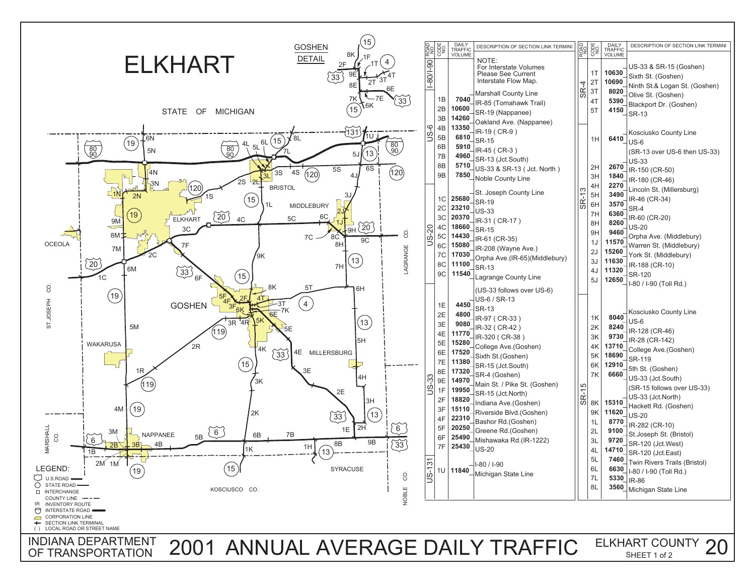